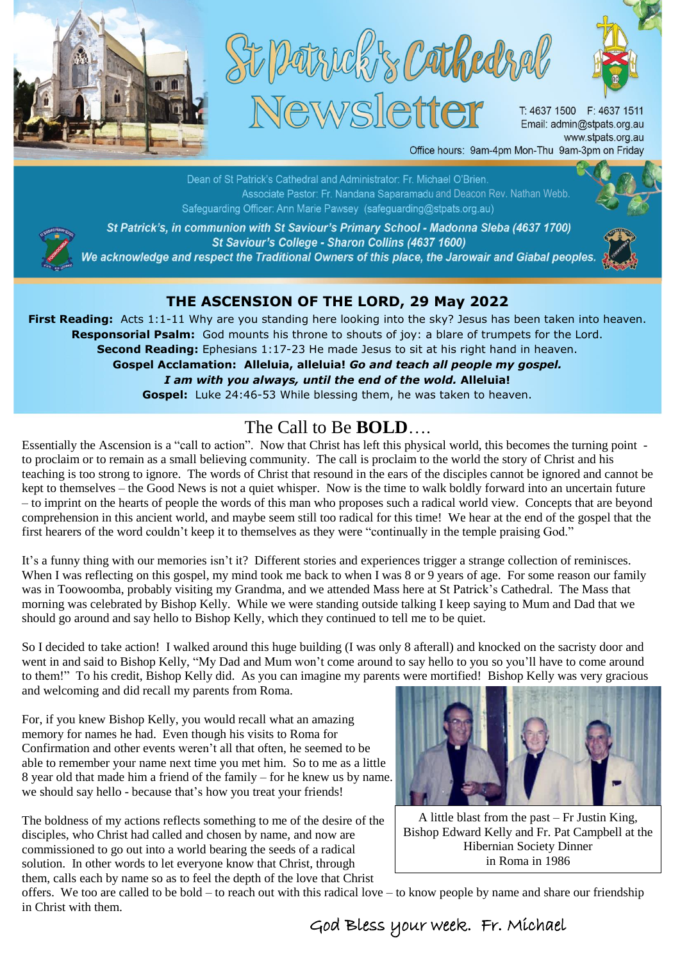





T: 4637 1500 F: 4637 1511 Email: admin@stpats.org.au www.stpats.org.au

Office hours: 9am-4pm Mon-Thu 9am-3pm on Friday

Dean of St Patrick's Cathedral and Administrator: Fr. Michael O'Brien. Associate Pastor: Fr. Nandana Saparamadu and Deacon Rev. Nathan Webb. Safeguarding Officer: Ann Marie Pawsey (safeguarding@stpats.org.au)



St Patrick's, in communion with St Saviour's Primary School - Madonna Sleba (4637 1700) St Saviour's College - Sharon Collins (4637 1600) We acknowledge and respect the Traditional Owners of this place, the Jarowair and Giabal peoples.



## **THE ASCENSION OF THE LORD, 29 May 2022**

**First Reading:** Acts 1:1-11 Why are you standing here looking into the sky? Jesus has been taken into heaven. **Responsorial Psalm:** God mounts his throne to shouts of joy: a blare of trumpets for the Lord. **Second Reading:** Ephesians 1:17-23 He made Jesus to sit at his right hand in heaven.

**Gospel Acclamation: Alleluia, alleluia!** *Go and teach all people my gospel. I am with you always, until the end of the wold.* **Alleluia! Gospel:** Luke 24:46-53 While blessing them, he was taken to heaven.

## The Call to Be **BOLD**….

Essentially the Ascension is a "call to action". Now that Christ has left this physical world, this becomes the turning point to proclaim or to remain as a small believing community. The call is proclaim to the world the story of Christ and his teaching is too strong to ignore. The words of Christ that resound in the ears of the disciples cannot be ignored and cannot be kept to themselves – the Good News is not a quiet whisper. Now is the time to walk boldly forward into an uncertain future – to imprint on the hearts of people the words of this man who proposes such a radical world view. Concepts that are beyond comprehension in this ancient world, and maybe seem still too radical for this time! We hear at the end of the gospel that the first hearers of the word couldn't keep it to themselves as they were "continually in the temple praising God."

It's a funny thing with our memories isn't it? Different stories and experiences trigger a strange collection of reminisces. When I was reflecting on this gospel, my mind took me back to when I was 8 or 9 years of age. For some reason our family was in Toowoomba, probably visiting my Grandma, and we attended Mass here at St Patrick's Cathedral. The Mass that morning was celebrated by Bishop Kelly. While we were standing outside talking I keep saying to Mum and Dad that we should go around and say hello to Bishop Kelly, which they continued to tell me to be quiet.

So I decided to take action! I walked around this huge building (I was only 8 afterall) and knocked on the sacristy door and went in and said to Bishop Kelly, "My Dad and Mum won't come around to say hello to you so you'll have to come around to them!" To his credit, Bishop Kelly did. As you can imagine my parents were mortified! Bishop Kelly was very gracious and welcoming and did recall my parents from Roma.

For, if you knew Bishop Kelly, you would recall what an amazing memory for names he had. Even though his visits to Roma for Confirmation and other events weren't all that often, he seemed to be able to remember your name next time you met him. So to me as a little 8 year old that made him a friend of the family – for he knew us by name. we should say hello - because that's how you treat your friends!

The boldness of my actions reflects something to me of the desire of the disciples, who Christ had called and chosen by name, and now are commissioned to go out into a world bearing the seeds of a radical solution. In other words to let everyone know that Christ, through them, calls each by name so as to feel the depth of the love that Christ



A little blast from the past – Fr Justin King, Bishop Edward Kelly and Fr. Pat Campbell at the Hibernian Society Dinner in Roma in 1986

offers. We too are called to be bold – to reach out with this radical love – to know people by name and share our friendship in Christ with them.

God Bless your week. Fr. Michael